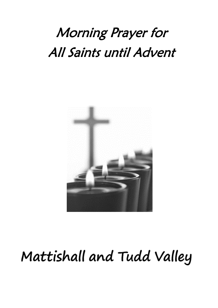# Morning Prayer for All Saints until Advent



# Mattishall and Tudd Valley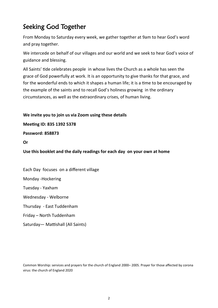## Seeking God Together

From Monday to Saturday every week, we gather together at 9am to hear God's word and pray together.

We intercede on behalf of our villages and our world and we seek to hear God's voice of guidance and blessing.

All Saints' tide celebrates people in whose lives the Church as a whole has seen the grace of God powerfully at work. It is an opportunity to give thanks for that grace, and for the wonderful ends to which it shapes a human life; it is a time to be encouraged by the example of the saints and to recall God's holiness growing in the ordinary circumstances, as well as the extraordinary crises, of human living.

**We invite you to join us via Zoom using these details** 

**Meeting ID: 835 1392 5378**

**Password: 858873** 

**Or** 

**Use this booklet and the daily readings for each day on your own at home**

Each Day focuses on a different village Monday -Hockering Tuesday - Yaxham Wednesday - Welborne Thursday - East Tuddenham Friday – North Tuddenham Saturday— Mattishall (All Saints)

Common Worship: services and prayers for the church of England 2000– 2005. Prayer for those affected by corona virus: the church of England 2020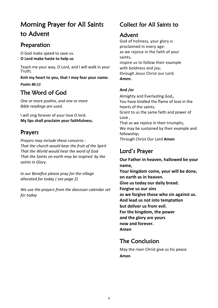## Morning Prayer for All Saints to Advent

#### Preparation

O God make speed to save us. **O Lord make haste to help us**

Teach me your way, O Lord, and I will walk in your Truth;

**Knit my heart to you, that I may fear your name.**

*Psalm 86:11*

## The Word of God

*One or more psalms, and one or more Bible readings are used.* 

I will sing forever of your love O lord. **My lips shall proclaim your faithfulness.**

### Prayers

*Prayers may include these concerns : That the church would bear the fruit of the Spirit That the World would hear the word of God That the Saints on earth may be inspired by the saints in Glory.*

*In our Benefice please pray for the village allocated for today ( see page 2)*

*We use the prayers from the diocesan calendar set for today*

## Collect for All Saints to

### Advent

God of holiness, your glory is proclaimed in every age: as we rejoice in the faith of your saints, inspire us to follow their example with boldness and joy; through Jesus Christ our Lord. *Amen.*

#### **And /or**

Almighty and Everlasting God,, You have kindled the flame of love in the hearts of the saints; Grant to us the same faith and power of Love , That as we rejoice in their triumphs, We may be sustained by their example and fellowship; Through Christ Our Lord **Amen** 

## Lord's Prayer

**Our Father in heaven, hallowed be your name, Your kingdom come, your will be done, on earth as in heaven. Give us today our daily bread. Forgive us our sins as we forgive those who sin against us. And lead us not into temptation but deliver us from evil. For the kingdom, the power and the glory are yours now and forever. Amen**

## The Conclusion

May the risen Christ give us his peace. **Amen**